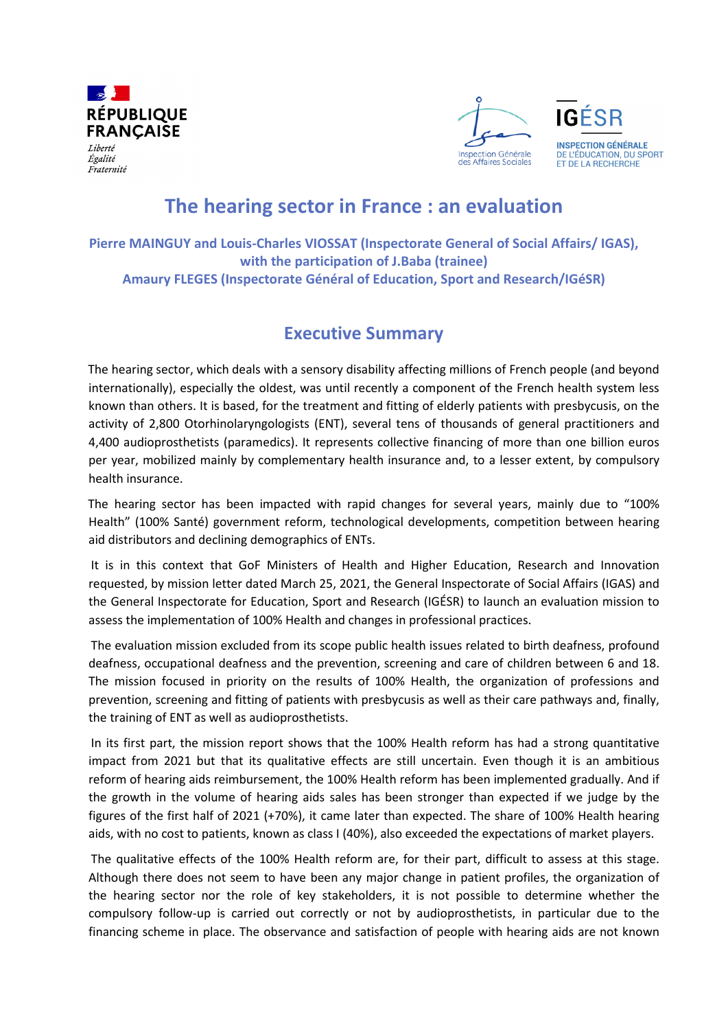

Fraternité



**IGÉSB INSPECTION GÉNÉRALE** DE L'ÉDUCATION, DU SPORT ET DE LA RECHERCHE

## **The hearing sector in France : an evaluation**

**Pierre MAINGUY and Louis-Charles VIOSSAT (Inspectorate General of Social Affairs/ IGAS), with the participation of J.Baba (trainee) Amaury FLEGES (Inspectorate Général of Education, Sport and Research/IGéSR)**

## **Executive Summary**

The hearing sector, which deals with a sensory disability affecting millions of French people (and beyond internationally), especially the oldest, was until recently a component of the French health system less known than others. It is based, for the treatment and fitting of elderly patients with presbycusis, on the activity of 2,800 Otorhinolaryngologists (ENT), several tens of thousands of general practitioners and 4,400 audioprosthetists (paramedics). It represents collective financing of more than one billion euros per year, mobilized mainly by complementary health insurance and, to a lesser extent, by compulsory health insurance.

The hearing sector has been impacted with rapid changes for several years, mainly due to "100% Health" (100% Santé) government reform, technological developments, competition between hearing aid distributors and declining demographics of ENTs.

It is in this context that GoF Ministers of Health and Higher Education, Research and Innovation requested, by mission letter dated March 25, 2021, the General Inspectorate of Social Affairs (IGAS) and the General Inspectorate for Education, Sport and Research (IGÉSR) to launch an evaluation mission to assess the implementation of 100% Health and changes in professional practices.

The evaluation mission excluded from its scope public health issues related to birth deafness, profound deafness, occupational deafness and the prevention, screening and care of children between 6 and 18. The mission focused in priority on the results of 100% Health, the organization of professions and prevention, screening and fitting of patients with presbycusis as well as their care pathways and, finally, the training of ENT as well as audioprosthetists.

In its first part, the mission report shows that the 100% Health reform has had a strong quantitative impact from 2021 but that its qualitative effects are still uncertain. Even though it is an ambitious reform of hearing aids reimbursement, the 100% Health reform has been implemented gradually. And if the growth in the volume of hearing aids sales has been stronger than expected if we judge by the figures of the first half of 2021 (+70%), it came later than expected. The share of 100% Health hearing aids, with no cost to patients, known as class I (40%), also exceeded the expectations of market players.

The qualitative effects of the 100% Health reform are, for their part, difficult to assess at this stage. Although there does not seem to have been any major change in patient profiles, the organization of the hearing sector nor the role of key stakeholders, it is not possible to determine whether the compulsory follow-up is carried out correctly or not by audioprosthetists, in particular due to the financing scheme in place. The observance and satisfaction of people with hearing aids are not known